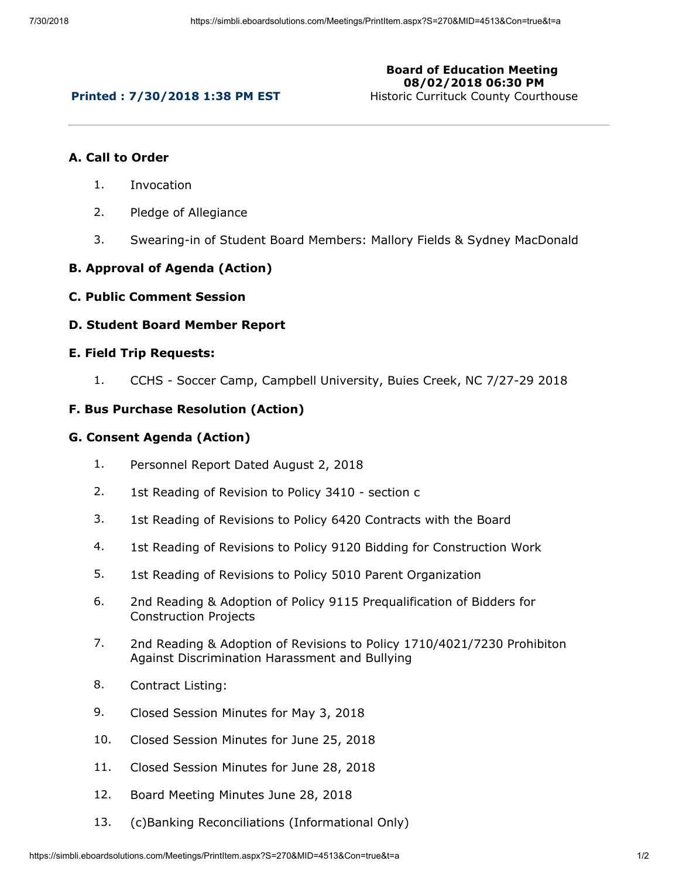# **Printed : 7/30/2018 1:38 PM EST**

**Board of Education Meeting 08/02/2018 06:30 PM**

Historic Currituck County Courthouse

### **A. Call to Order**

- 1. Invocation
- 2. Pledge of Allegiance
- 3. Swearing-in of Student Board Members: Mallory Fields & Sydney MacDonald

## **B. Approval of Agenda (Action)**

**C. Public Comment Session**

### **D. Student Board Member Report**

#### **E. Field Trip Requests:**

1. CCHS - Soccer Camp, Campbell University, Buies Creek, NC 7/27-29 2018

### **F. Bus Purchase Resolution (Action)**

#### **G. Consent Agenda (Action)**

- 1. Personnel Report Dated August 2, 2018
- 2. 1st Reading of Revision to Policy 3410 section c
- 3. 1st Reading of Revisions to Policy 6420 Contracts with the Board
- 4. 1st Reading of Revisions to Policy 9120 Bidding for Construction Work
- 5. 1st Reading of Revisions to Policy 5010 Parent Organization
- 6. 2nd Reading & Adoption of Policy 9115 Prequalification of Bidders for Construction Projects
- 7. 2nd Reading & Adoption of Revisions to Policy 1710/4021/7230 Prohibiton Against Discrimination Harassment and Bullying
- 8. Contract Listing:
- 9. Closed Session Minutes for May 3, 2018
- 10. Closed Session Minutes for June 25, 2018
- 11. Closed Session Minutes for June 28, 2018
- 12. Board Meeting Minutes June 28, 2018
- 13. (c)Banking Reconciliations (Informational Only)